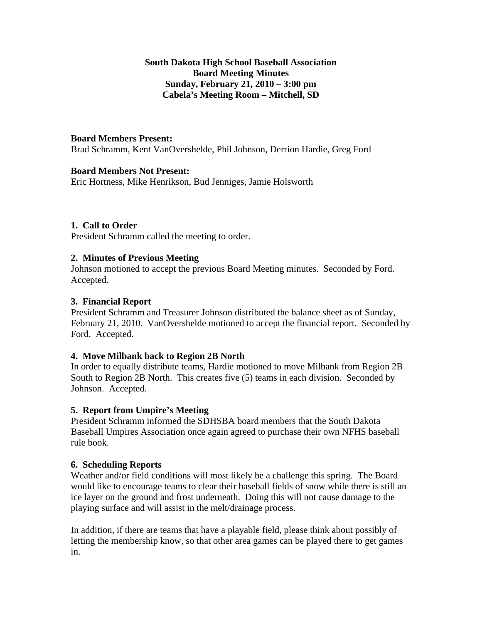### **South Dakota High School Baseball Association Board Meeting Minutes Sunday, February 21, 2010 – 3:00 pm Cabela's Meeting Room – Mitchell, SD**

### **Board Members Present:**

Brad Schramm, Kent VanOvershelde, Phil Johnson, Derrion Hardie, Greg Ford

#### **Board Members Not Present:**

Eric Hortness, Mike Henrikson, Bud Jenniges, Jamie Holsworth

#### **1. Call to Order**

President Schramm called the meeting to order.

#### **2. Minutes of Previous Meeting**

Johnson motioned to accept the previous Board Meeting minutes. Seconded by Ford. Accepted.

#### **3. Financial Report**

President Schramm and Treasurer Johnson distributed the balance sheet as of Sunday, February 21, 2010. VanOvershelde motioned to accept the financial report. Seconded by Ford. Accepted.

#### **4. Move Milbank back to Region 2B North**

In order to equally distribute teams, Hardie motioned to move Milbank from Region 2B South to Region 2B North. This creates five (5) teams in each division. Seconded by Johnson. Accepted.

#### **5. Report from Umpire's Meeting**

President Schramm informed the SDHSBA board members that the South Dakota Baseball Umpires Association once again agreed to purchase their own NFHS baseball rule book.

#### **6. Scheduling Reports**

Weather and/or field conditions will most likely be a challenge this spring. The Board would like to encourage teams to clear their baseball fields of snow while there is still an ice layer on the ground and frost underneath. Doing this will not cause damage to the playing surface and will assist in the melt/drainage process.

In addition, if there are teams that have a playable field, please think about possibly of letting the membership know, so that other area games can be played there to get games in.